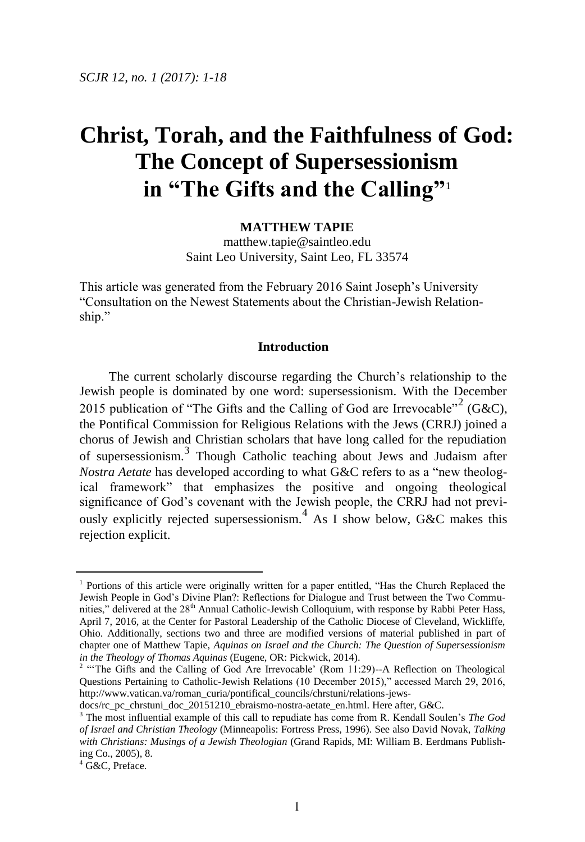# **Christ, Torah, and the Faithfulness of God: The Concept of Supersessionism in "The Gifts and the Calling"**<sup>1</sup>

### **MATTHEW TAPIE**

matthew.tapie@saintleo.edu Saint Leo University, Saint Leo, FL 33574

This article was generated from the February 2016 Saint Joseph's University "Consultation on the Newest Statements about the Christian-Jewish Relationship."

#### **Introduction**

The current scholarly discourse regarding the Church's relationship to the Jewish people is dominated by one word: supersessionism. With the December 2015 publication of "The Gifts and the Calling of God are Irrevocable"<sup>2</sup> (G&C), the Pontifical Commission for Religious Relations with the Jews (CRRJ) joined a chorus of Jewish and Christian scholars that have long called for the repudiation of supersessionism.<sup>3</sup> Though Catholic teaching about Jews and Judaism after *Nostra Aetate* has developed according to what G&C refers to as a "new theological framework" that emphasizes the positive and ongoing theological significance of God's covenant with the Jewish people, the CRRJ had not previously explicitly rejected supersessionism.<sup>4</sup> As I show below, G&C makes this rejection explicit.

<sup>&</sup>lt;sup>1</sup> Portions of this article were originally written for a paper entitled, "Has the Church Replaced the Jewish People in God's Divine Plan?: Reflections for Dialogue and Trust between the Two Communities," delivered at the 28<sup>th</sup> Annual Catholic-Jewish Colloquium, with response by Rabbi Peter Hass, April 7, 2016, at the Center for Pastoral Leadership of the Catholic Diocese of Cleveland, Wickliffe, Ohio. Additionally, sections two and three are modified versions of material published in part of chapter one of Matthew Tapie, *Aquinas on Israel and the Church: The Question of Supersessionism in the Theology of Thomas Aquinas* (Eugene, OR: Pickwick, 2014).

<sup>&</sup>lt;sup>2</sup> "The Gifts and the Calling of God Are Irrevocable' (Rom 11:29)--A Reflection on Theological Questions Pertaining to Catholic-Jewish Relations (10 December 2015)," accessed March 29, 2016, http://www.vatican.va/roman\_curia/pontifical\_councils/chrstuni/relations-jews-

docs/rc\_pc\_chrstuni\_doc\_20151210\_ebraismo-nostra-aetate\_en.html. Here after, G&C.

<sup>3</sup> The most influential example of this call to repudiate has come from R. Kendall Soulen's *The God of Israel and Christian Theology* (Minneapolis: Fortress Press, 1996). See also David Novak, *Talking with Christians: Musings of a Jewish Theologian* (Grand Rapids, MI: William B. Eerdmans Publishing Co., 2005), 8.

<sup>4</sup> G&C, Preface.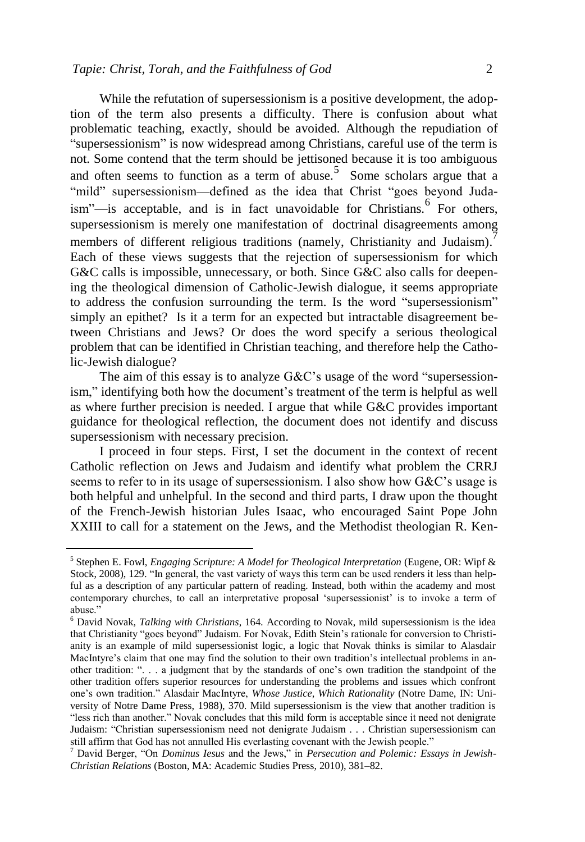While the refutation of supersessionism is a positive development, the adoption of the term also presents a difficulty. There is confusion about what problematic teaching, exactly, should be avoided. Although the repudiation of "supersessionism" is now widespread among Christians, careful use of the term is not. Some contend that the term should be jettisoned because it is too ambiguous and often seems to function as a term of abuse.<sup>5</sup> Some scholars argue that a "mild" supersessionism—defined as the idea that Christ "goes beyond Juda- $\lim_{n \to \infty} \frac{1}{n}$  acceptable, and is in fact unavoidable for Christians. For others, supersessionism is merely one manifestation of doctrinal disagreements among members of different religious traditions (namely, Christianity and Judaism). Each of these views suggests that the rejection of supersessionism for which G&C calls is impossible, unnecessary, or both. Since G&C also calls for deepening the theological dimension of Catholic-Jewish dialogue, it seems appropriate to address the confusion surrounding the term. Is the word "supersessionism" simply an epithet? Is it a term for an expected but intractable disagreement between Christians and Jews? Or does the word specify a serious theological problem that can be identified in Christian teaching, and therefore help the Catholic-Jewish dialogue?

The aim of this essay is to analyze G&C's usage of the word "supersessionism," identifying both how the document's treatment of the term is helpful as well as where further precision is needed. I argue that while G&C provides important guidance for theological reflection, the document does not identify and discuss supersessionism with necessary precision.

I proceed in four steps. First, I set the document in the context of recent Catholic reflection on Jews and Judaism and identify what problem the CRRJ seems to refer to in its usage of supersessionism. I also show how G&C's usage is both helpful and unhelpful. In the second and third parts, I draw upon the thought of the French-Jewish historian Jules Isaac, who encouraged Saint Pope John XXIII to call for a statement on the Jews, and the Methodist theologian R. Ken-

<sup>5</sup> Stephen E. Fowl, *Engaging Scripture: A Model for Theological Interpretation* (Eugene, OR: Wipf & Stock, 2008), 129. "In general, the vast variety of ways this term can be used renders it less than helpful as a description of any particular pattern of reading. Instead, both within the academy and most contemporary churches, to call an interpretative proposal 'supersessionist' is to invoke a term of abuse."

<sup>6</sup> David Novak, *Talking with Christians*, 164. According to Novak, mild supersessionism is the idea that Christianity "goes beyond" Judaism. For Novak, Edith Stein's rationale for conversion to Christianity is an example of mild supersessionist logic, a logic that Novak thinks is similar to Alasdair MacIntyre's claim that one may find the solution to their own tradition's intellectual problems in another tradition: ". . . a judgment that by the standards of one's own tradition the standpoint of the other tradition offers superior resources for understanding the problems and issues which confront one's own tradition." Alasdair MacIntyre, *Whose Justice, Which Rationality* (Notre Dame, IN: University of Notre Dame Press, 1988), 370. Mild supersessionism is the view that another tradition is "less rich than another." Novak concludes that this mild form is acceptable since it need not denigrate Judaism: "Christian supersessionism need not denigrate Judaism . . . Christian supersessionism can still affirm that God has not annulled His everlasting covenant with the Jewish people."

<sup>7</sup> David Berger, "On *Dominus Iesus* and the Jews," in *Persecution and Polemic: Essays in Jewish-Christian Relations* (Boston, MA: Academic Studies Press, 2010), 381–82.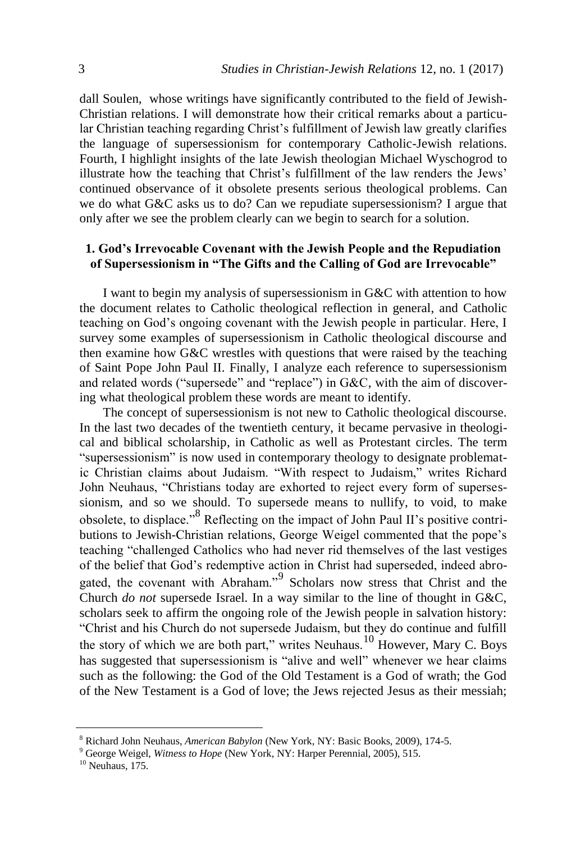dall Soulen, whose writings have significantly contributed to the field of Jewish-Christian relations. I will demonstrate how their critical remarks about a particular Christian teaching regarding Christ's fulfillment of Jewish law greatly clarifies the language of supersessionism for contemporary Catholic-Jewish relations. Fourth, I highlight insights of the late Jewish theologian Michael Wyschogrod to illustrate how the teaching that Christ's fulfillment of the law renders the Jews' continued observance of it obsolete presents serious theological problems. Can we do what G&C asks us to do? Can we repudiate supersessionism? I argue that only after we see the problem clearly can we begin to search for a solution.

## **1. God's Irrevocable Covenant with the Jewish People and the Repudiation of Supersessionism in "The Gifts and the Calling of God are Irrevocable"**

I want to begin my analysis of supersessionism in G&C with attention to how the document relates to Catholic theological reflection in general, and Catholic teaching on God's ongoing covenant with the Jewish people in particular. Here, I survey some examples of supersessionism in Catholic theological discourse and then examine how G&C wrestles with questions that were raised by the teaching of Saint Pope John Paul II. Finally, I analyze each reference to supersessionism and related words ("supersede" and "replace") in G&C, with the aim of discovering what theological problem these words are meant to identify.

The concept of supersessionism is not new to Catholic theological discourse. In the last two decades of the twentieth century, it became pervasive in theological and biblical scholarship, in Catholic as well as Protestant circles. The term "supersessionism" is now used in contemporary theology to designate problematic Christian claims about Judaism. "With respect to Judaism," writes Richard John Neuhaus, "Christians today are exhorted to reject every form of supersessionism, and so we should. To supersede means to nullify, to void, to make obsolete, to displace."<sup>8</sup> Reflecting on the impact of John Paul II's positive contributions to Jewish-Christian relations, George Weigel commented that the pope's teaching "challenged Catholics who had never rid themselves of the last vestiges of the belief that God's redemptive action in Christ had superseded, indeed abrogated, the covenant with Abraham."<sup>9</sup> Scholars now stress that Christ and the Church *do not* supersede Israel. In a way similar to the line of thought in G&C, scholars seek to affirm the ongoing role of the Jewish people in salvation history: "Christ and his Church do not supersede Judaism, but they do continue and fulfill the story of which we are both part," writes Neuhaus.<sup>10</sup> However, Mary C. Boys has suggested that supersessionism is "alive and well" whenever we hear claims such as the following: the God of the Old Testament is a God of wrath; the God of the New Testament is a God of love; the Jews rejected Jesus as their messiah;

<sup>8</sup> Richard John Neuhaus, *American Babylon* (New York, NY: Basic Books, 2009), 174-5.

<sup>9</sup> George Weigel, *Witness to Hope* (New York, NY: Harper Perennial, 2005), 515.

 $10$  Neuhaus,  $175$ .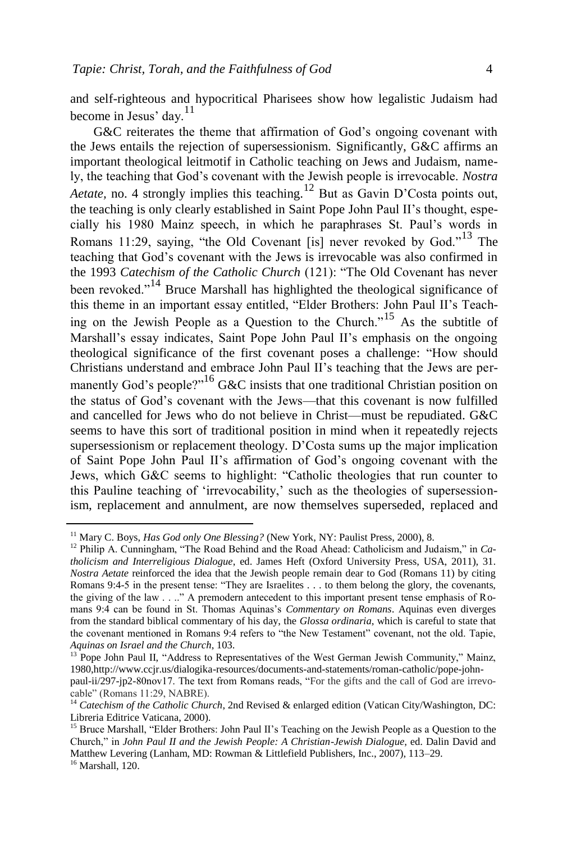and self-righteous and hypocritical Pharisees show how legalistic Judaism had become in Jesus' day.<sup>11</sup>

G&C reiterates the theme that affirmation of God's ongoing covenant with the Jews entails the rejection of supersessionism. Significantly, G&C affirms an important theological leitmotif in Catholic teaching on Jews and Judaism, namely, the teaching that God's covenant with the Jewish people is irrevocable. *Nostra Aetate*, no. 4 strongly implies this teaching.<sup>12</sup> But as Gavin D'Costa points out, the teaching is only clearly established in Saint Pope John Paul II's thought, especially his 1980 Mainz speech, in which he paraphrases St. Paul's words in Romans 11:29, saying, "the Old Covenant [is] never revoked by God."<sup>13</sup> The teaching that God's covenant with the Jews is irrevocable was also confirmed in the 1993 *Catechism of the Catholic Church* (121): "The Old Covenant has never been revoked."<sup>14</sup> Bruce Marshall has highlighted the theological significance of this theme in an important essay entitled, "Elder Brothers: John Paul II's Teaching on the Jewish People as a Question to the Church."<sup>15</sup> As the subtitle of Marshall's essay indicates, Saint Pope John Paul II's emphasis on the ongoing theological significance of the first covenant poses a challenge: "How should Christians understand and embrace John Paul II's teaching that the Jews are permanently God's people?"<sup>16</sup> G&C insists that one traditional Christian position on the status of God's covenant with the Jews—that this covenant is now fulfilled and cancelled for Jews who do not believe in Christ—must be repudiated. G&C seems to have this sort of traditional position in mind when it repeatedly rejects supersessionism or replacement theology. D'Costa sums up the major implication of Saint Pope John Paul II's affirmation of God's ongoing covenant with the Jews, which G&C seems to highlight: "Catholic theologies that run counter to this Pauline teaching of 'irrevocability,' such as the theologies of supersessionism, replacement and annulment, are now themselves superseded, replaced and

<sup>&</sup>lt;sup>11</sup> Mary C. Boys, *Has God only One Blessing?* (New York, NY: Paulist Press, 2000), 8.

<sup>&</sup>lt;sup>12</sup> Philip A. Cunningham, "The Road Behind and the Road Ahead: Catholicism and Judaism," in *Catholicism and Interreligious Dialogue*, ed. James Heft (Oxford University Press, USA, 2011), 31. *Nostra Aetate* reinforced the idea that the Jewish people remain dear to God (Romans 11) by citing Romans 9:4-5 in the present tense: "They are Israelites . . . to them belong the glory, the covenants, the giving of the law . . .." A premodern antecedent to this important present tense emphasis of Romans 9:4 can be found in St. Thomas Aquinas's *Commentary on Romans*. Aquinas even diverges from the standard biblical commentary of his day, the *Glossa ordinaria*, which is careful to state that the covenant mentioned in Romans 9:4 refers to "the New Testament" covenant, not the old. Tapie, *Aquinas on Israel and the Church*, 103.

<sup>&</sup>lt;sup>13</sup> Pope John Paul II, "Address to Representatives of the West German Jewish Community," Mainz, 1980,http://www.ccjr.us/dialogika-resources/documents-and-statements/roman-catholic/pope-john-

paul-ii/297-jp2-80nov17. The text from Romans reads, "For the gifts and the call of God are irrevocable" (Romans 11:29, NABRE).

<sup>&</sup>lt;sup>14</sup> Catechism of the Catholic Church, 2nd Revised & enlarged edition (Vatican City/Washington, DC: Libreria Editrice Vaticana, 2000).

<sup>&</sup>lt;sup>15</sup> Bruce Marshall, "Elder Brothers: John Paul II's Teaching on the Jewish People as a Question to the Church," in *John Paul II and the Jewish People: A Christian-Jewish Dialogue*, ed. Dalin David and Matthew Levering (Lanham, MD: Rowman & Littlefield Publishers, Inc., 2007), 113–29.

<sup>16</sup> Marshall, 120.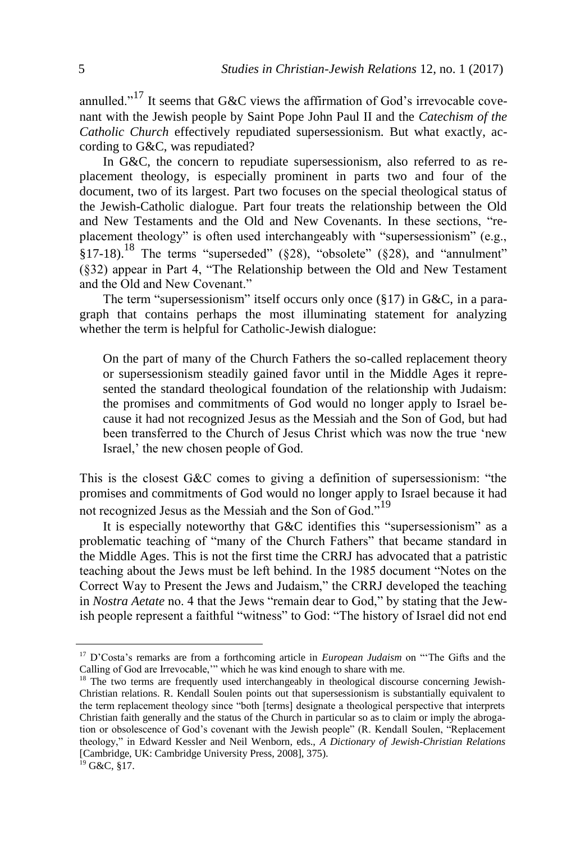annulled."<sup>17</sup> It seems that G&C views the affirmation of God's irrevocable covenant with the Jewish people by Saint Pope John Paul II and the *Catechism of the Catholic Church* effectively repudiated supersessionism. But what exactly, according to G&C, was repudiated?

In G&C, the concern to repudiate supersessionism, also referred to as replacement theology, is especially prominent in parts two and four of the document, two of its largest. Part two focuses on the special theological status of the Jewish-Catholic dialogue. Part four treats the relationship between the Old and New Testaments and the Old and New Covenants. In these sections, "replacement theology" is often used interchangeably with "supersessionism" (e.g.,  $§17-18$ ).<sup>18</sup> The terms "superseded" ( $§28$ ), "obsolete" ( $§28$ ), and "annulment" (§32) appear in Part 4, "The Relationship between the Old and New Testament and the Old and New Covenant."

The term "supersessionism" itself occurs only once (§17) in G&C, in a paragraph that contains perhaps the most illuminating statement for analyzing whether the term is helpful for Catholic-Jewish dialogue:

On the part of many of the Church Fathers the so-called replacement theory or supersessionism steadily gained favor until in the Middle Ages it represented the standard theological foundation of the relationship with Judaism: the promises and commitments of God would no longer apply to Israel because it had not recognized Jesus as the Messiah and the Son of God, but had been transferred to the Church of Jesus Christ which was now the true 'new Israel,' the new chosen people of God.

This is the closest G&C comes to giving a definition of supersessionism: "the promises and commitments of God would no longer apply to Israel because it had not recognized Jesus as the Messiah and the Son of God."<sup>19</sup>

It is especially noteworthy that G&C identifies this "supersessionism" as a problematic teaching of "many of the Church Fathers" that became standard in the Middle Ages. This is not the first time the CRRJ has advocated that a patristic teaching about the Jews must be left behind. In the 1985 document "Notes on the Correct Way to Present the Jews and Judaism," the CRRJ developed the teaching in *Nostra Aetate* no. 4 that the Jews "remain dear to God," by stating that the Jewish people represent a faithful "witness" to God: "The history of Israel did not end

<sup>17</sup> D'Costa's remarks are from a forthcoming article in *European Judaism* on "'The Gifts and the Calling of God are Irrevocable,'" which he was kind enough to share with me.

<sup>&</sup>lt;sup>18</sup> The two terms are frequently used interchangeably in theological discourse concerning Jewish-Christian relations. R. Kendall Soulen points out that supersessionism is substantially equivalent to the term replacement theology since "both [terms] designate a theological perspective that interprets Christian faith generally and the status of the Church in particular so as to claim or imply the abrogation or obsolescence of God's covenant with the Jewish people" (R. Kendall Soulen, "Replacement theology," in Edward Kessler and Neil Wenborn, eds., *A Dictionary of Jewish-Christian Relations* [Cambridge, UK: Cambridge University Press, 2008], 375).

 $19$  G&C,  $$17$ .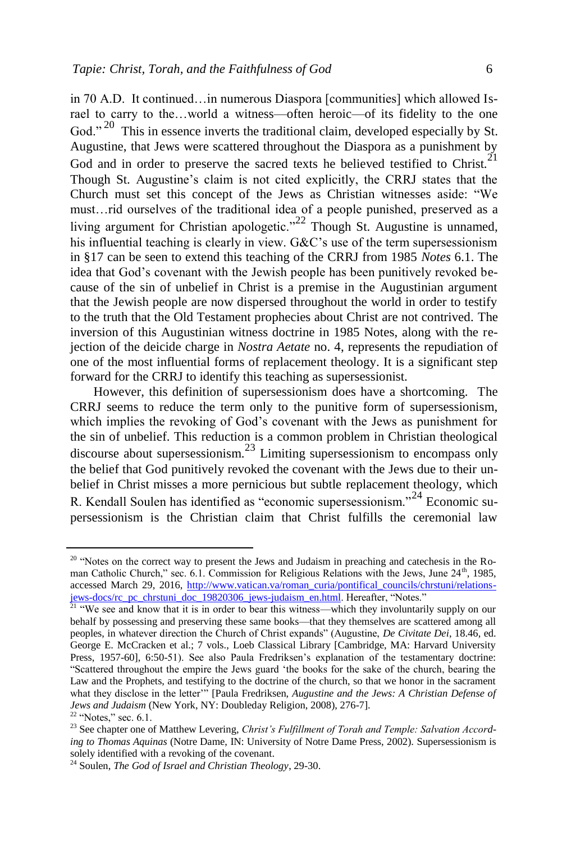in 70 A.D. It continued…in numerous Diaspora [communities] which allowed Israel to carry to the…world a witness—often heroic—of its fidelity to the one God."<sup>20</sup> This in essence inverts the traditional claim, developed especially by St. Augustine, that Jews were scattered throughout the Diaspora as a punishment by God and in order to preserve the sacred texts he believed testified to Christ.<sup>21</sup> Though St. Augustine's claim is not cited explicitly, the CRRJ states that the Church must set this concept of the Jews as Christian witnesses aside: "We must…rid ourselves of the traditional idea of a people punished, preserved as a living argument for Christian apologetic."<sup>22</sup> Though St. Augustine is unnamed, his influential teaching is clearly in view. G&C's use of the term supersessionism in §17 can be seen to extend this teaching of the CRRJ from 1985 *Notes* 6.1. The idea that God's covenant with the Jewish people has been punitively revoked because of the sin of unbelief in Christ is a premise in the Augustinian argument that the Jewish people are now dispersed throughout the world in order to testify to the truth that the Old Testament prophecies about Christ are not contrived. The inversion of this Augustinian witness doctrine in 1985 Notes, along with the rejection of the deicide charge in *Nostra Aetate* no. 4, represents the repudiation of one of the most influential forms of replacement theology. It is a significant step forward for the CRRJ to identify this teaching as supersessionist.

However, this definition of supersessionism does have a shortcoming. The CRRJ seems to reduce the term only to the punitive form of supersessionism, which implies the revoking of God's covenant with the Jews as punishment for the sin of unbelief. This reduction is a common problem in Christian theological discourse about supersessionism.<sup>23</sup> Limiting supersessionism to encompass only the belief that God punitively revoked the covenant with the Jews due to their unbelief in Christ misses a more pernicious but subtle replacement theology, which R. Kendall Soulen has identified as "economic supersessionism."<sup>24</sup> Economic supersessionism is the Christian claim that Christ fulfills the ceremonial law

<sup>&</sup>lt;sup>20</sup> "Notes on the correct way to present the Jews and Judaism in preaching and catechesis in the Roman Catholic Church," sec. 6.1. Commission for Religious Relations with the Jews, June  $24<sup>th</sup>$ , 1985, accessed March 29, 2016, [http://www.vatican.va/roman\\_curia/pontifical\\_councils/chrstuni/relations](http://www.vatican.va/roman_curia/pontifical_councils/chrstuni/relations-jews-docs/rc_pc_chrstuni_doc_19820306_jews-judaism_en.html)[jews-docs/rc\\_pc\\_chrstuni\\_doc\\_19820306\\_jews-judaism\\_en.html.](http://www.vatican.va/roman_curia/pontifical_councils/chrstuni/relations-jews-docs/rc_pc_chrstuni_doc_19820306_jews-judaism_en.html) Hereafter, "Notes."

<sup>&</sup>lt;sup>21</sup> "We see and know that it is in order to bear this witness—which they involuntarily supply on our behalf by possessing and preserving these same books—that they themselves are scattered among all peoples, in whatever direction the Church of Christ expands" (Augustine, *De Civitate Dei*, 18.46, ed. George E. McCracken et al.; 7 vols., Loeb Classical Library [Cambridge, MA: Harvard University Press, 1957-60], 6:50-51). See also Paula Fredriksen's explanation of the testamentary doctrine: "Scattered throughout the empire the Jews guard 'the books for the sake of the church, bearing the Law and the Prophets, and testifying to the doctrine of the church, so that we honor in the sacrament what they disclose in the letter'" [Paula Fredriksen, *Augustine and the Jews: A Christian Defense of Jews and Judaism* (New York, NY: Doubleday Religion, 2008), 276-7].

 $22$  "Notes," sec. 6.1.

<sup>&</sup>lt;sup>23</sup> See chapter one of Matthew Levering, *Christ's Fulfillment of Torah and Temple: Salvation According to Thomas Aquinas* (Notre Dame, IN: University of Notre Dame Press, 2002). Supersessionism is solely identified with a revoking of the covenant.

<sup>24</sup> Soulen, *The God of Israel and Christian Theology*, 29-30.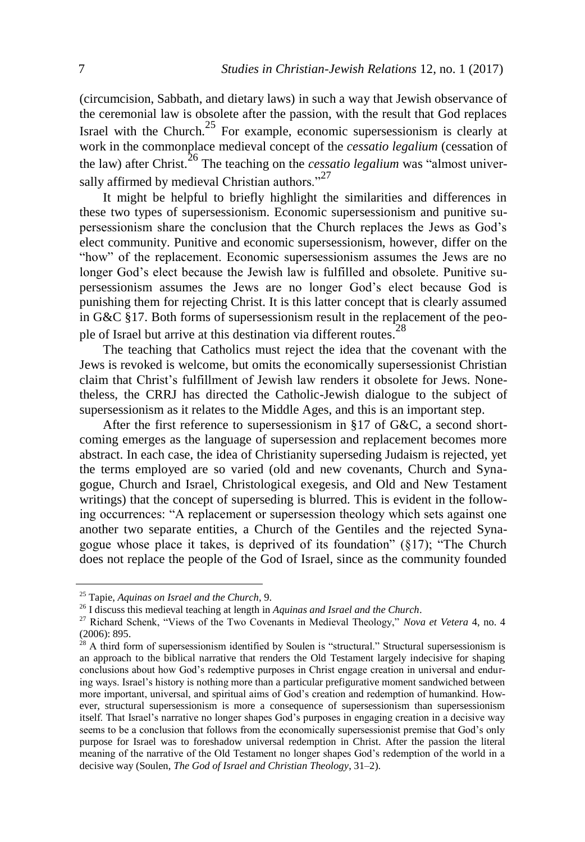(circumcision, Sabbath, and dietary laws) in such a way that Jewish observance of the ceremonial law is obsolete after the passion, with the result that God replaces Israel with the Church.<sup>25</sup> For example, economic supersessionism is clearly at work in the commonplace medieval concept of the *cessatio legalium* (cessation of the law) after Christ.<sup>26</sup> The teaching on the *cessatio legalium* was "almost universally affirmed by medieval Christian authors."<sup>27</sup>

It might be helpful to briefly highlight the similarities and differences in these two types of supersessionism. Economic supersessionism and punitive supersessionism share the conclusion that the Church replaces the Jews as God's elect community. Punitive and economic supersessionism, however, differ on the "how" of the replacement. Economic supersessionism assumes the Jews are no longer God's elect because the Jewish law is fulfilled and obsolete. Punitive supersessionism assumes the Jews are no longer God's elect because God is punishing them for rejecting Christ. It is this latter concept that is clearly assumed in G&C §17. Both forms of supersessionism result in the replacement of the people of Israel but arrive at this destination via different routes.<sup>28</sup>

The teaching that Catholics must reject the idea that the covenant with the Jews is revoked is welcome, but omits the economically supersessionist Christian claim that Christ's fulfillment of Jewish law renders it obsolete for Jews. Nonetheless, the CRRJ has directed the Catholic-Jewish dialogue to the subject of supersessionism as it relates to the Middle Ages, and this is an important step.

After the first reference to supersessionism in §17 of G&C, a second shortcoming emerges as the language of supersession and replacement becomes more abstract. In each case, the idea of Christianity superseding Judaism is rejected, yet the terms employed are so varied (old and new covenants, Church and Synagogue, Church and Israel, Christological exegesis, and Old and New Testament writings) that the concept of superseding is blurred. This is evident in the following occurrences: "A replacement or supersession theology which sets against one another two separate entities, a Church of the Gentiles and the rejected Synagogue whose place it takes, is deprived of its foundation" (§17); "The Church does not replace the people of the God of Israel, since as the community founded

<sup>25</sup> Tapie, *Aquinas on Israel and the Church*, 9.

<sup>26</sup> I discuss this medieval teaching at length in *Aquinas and Israel and the Church*.

<sup>27</sup> Richard Schenk, "Views of the Two Covenants in Medieval Theology," *Nova et Vetera* 4, no. 4 (2006): 895.

<sup>&</sup>lt;sup>28</sup> A third form of supersessionism identified by Soulen is "structural." Structural supersessionism is an approach to the biblical narrative that renders the Old Testament largely indecisive for shaping conclusions about how God's redemptive purposes in Christ engage creation in universal and enduring ways. Israel's history is nothing more than a particular prefigurative moment sandwiched between more important, universal, and spiritual aims of God's creation and redemption of humankind. However, structural supersessionism is more a consequence of supersessionism than supersessionism itself. That Israel's narrative no longer shapes God's purposes in engaging creation in a decisive way seems to be a conclusion that follows from the economically supersessionist premise that God's only purpose for Israel was to foreshadow universal redemption in Christ. After the passion the literal meaning of the narrative of the Old Testament no longer shapes God's redemption of the world in a decisive way (Soulen, *The God of Israel and Christian Theology*, 31–2).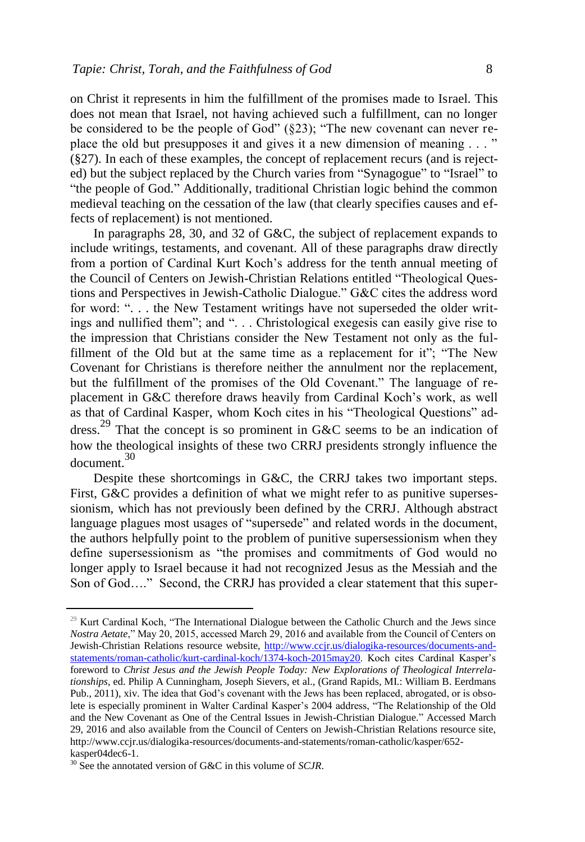on Christ it represents in him the fulfillment of the promises made to Israel. This does not mean that Israel, not having achieved such a fulfillment, can no longer be considered to be the people of God" (§23); "The new covenant can never replace the old but presupposes it and gives it a new dimension of meaning . . . " (§27). In each of these examples, the concept of replacement recurs (and is rejected) but the subject replaced by the Church varies from "Synagogue" to "Israel" to "the people of God." Additionally, traditional Christian logic behind the common medieval teaching on the cessation of the law (that clearly specifies causes and effects of replacement) is not mentioned.

In paragraphs 28, 30, and 32 of G&C, the subject of replacement expands to include writings, testaments, and covenant. All of these paragraphs draw directly from a portion of Cardinal Kurt Koch's address for the tenth annual meeting of the Council of Centers on Jewish-Christian Relations entitled "Theological Questions and Perspectives in Jewish-Catholic Dialogue." G&C cites the address word for word: ". . . the New Testament writings have not superseded the older writings and nullified them"; and ". . . Christological exegesis can easily give rise to the impression that Christians consider the New Testament not only as the fulfillment of the Old but at the same time as a replacement for it"; "The New Covenant for Christians is therefore neither the annulment nor the replacement, but the fulfillment of the promises of the Old Covenant." The language of replacement in G&C therefore draws heavily from Cardinal Koch's work, as well as that of Cardinal Kasper, whom Koch cites in his "Theological Questions" address.<sup>29</sup> That the concept is so prominent in G&C seems to be an indication of how the theological insights of these two CRRJ presidents strongly influence the document<sup>30</sup>

Despite these shortcomings in G&C, the CRRJ takes two important steps. First, G&C provides a definition of what we might refer to as punitive supersessionism, which has not previously been defined by the CRRJ. Although abstract language plagues most usages of "supersede" and related words in the document, the authors helpfully point to the problem of punitive supersessionism when they define supersessionism as "the promises and commitments of God would no longer apply to Israel because it had not recognized Jesus as the Messiah and the Son of God…." Second, the CRRJ has provided a clear statement that this super-

<sup>&</sup>lt;sup>29</sup> Kurt Cardinal Koch, "The International Dialogue between the Catholic Church and the Jews since *Nostra Aetate*," May 20, 2015, accessed March 29, 2016 and available from the Council of Centers on Jewish-Christian Relations resource website, [http://www.ccjr.us/dialogika-resources/documents-and](http://www.ccjr.us/dialogika-resources/documents-and-statements/roman-catholic/kurt-cardinal-koch/1374-koch-2015may20)[statements/roman-catholic/kurt-cardinal-koch/1374-koch-2015may20.](http://www.ccjr.us/dialogika-resources/documents-and-statements/roman-catholic/kurt-cardinal-koch/1374-koch-2015may20) Koch cites Cardinal Kasper's foreword to *Christ Jesus and the Jewish People Today: New Explorations of Theological Interrelationships*, ed. Philip A Cunningham, Joseph Sievers, et al., (Grand Rapids, MI.: William B. Eerdmans Pub., 2011), xiv. The idea that God's covenant with the Jews has been replaced, abrogated, or is obsolete is especially prominent in Walter Cardinal Kasper's 2004 address, "The Relationship of the Old and the New Covenant as One of the Central Issues in Jewish-Christian Dialogue." Accessed March 29, 2016 and also available from the Council of Centers on Jewish-Christian Relations resource site, http://www.ccjr.us/dialogika-resources/documents-and-statements/roman-catholic/kasper/652 kasper04dec6-1.

<sup>30</sup> See the annotated version of G&C in this volume of *SCJR*.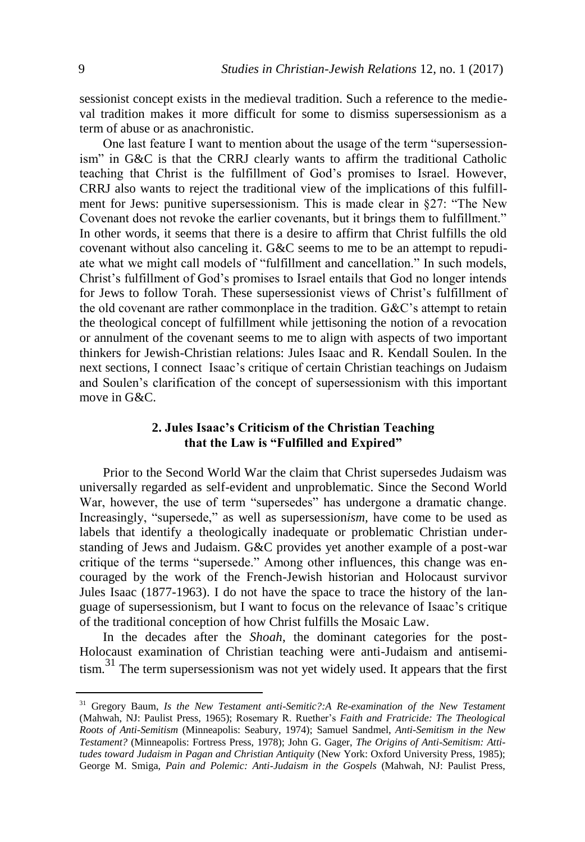sessionist concept exists in the medieval tradition. Such a reference to the medieval tradition makes it more difficult for some to dismiss supersessionism as a term of abuse or as anachronistic.

One last feature I want to mention about the usage of the term "supersessionism" in G&C is that the CRRJ clearly wants to affirm the traditional Catholic teaching that Christ is the fulfillment of God's promises to Israel. However, CRRJ also wants to reject the traditional view of the implications of this fulfillment for Jews: punitive supersessionism. This is made clear in §27: "The New Covenant does not revoke the earlier covenants, but it brings them to fulfillment." In other words, it seems that there is a desire to affirm that Christ fulfills the old covenant without also canceling it. G&C seems to me to be an attempt to repudiate what we might call models of "fulfillment and cancellation." In such models, Christ's fulfillment of God's promises to Israel entails that God no longer intends for Jews to follow Torah. These supersessionist views of Christ's fulfillment of the old covenant are rather commonplace in the tradition. G&C's attempt to retain the theological concept of fulfillment while jettisoning the notion of a revocation or annulment of the covenant seems to me to align with aspects of two important thinkers for Jewish-Christian relations: Jules Isaac and R. Kendall Soulen. In the next sections, I connect Isaac's critique of certain Christian teachings on Judaism and Soulen's clarification of the concept of supersessionism with this important move in G&C.

## **2. Jules Isaac's Criticism of the Christian Teaching that the Law is "Fulfilled and Expired"**

Prior to the Second World War the claim that Christ supersedes Judaism was universally regarded as self-evident and unproblematic. Since the Second World War, however, the use of term "supersedes" has undergone a dramatic change. Increasingly, "supersede," as well as supersession*ism,* have come to be used as labels that identify a theologically inadequate or problematic Christian understanding of Jews and Judaism. G&C provides yet another example of a post-war critique of the terms "supersede." Among other influences, this change was encouraged by the work of the French-Jewish historian and Holocaust survivor Jules Isaac (1877-1963). I do not have the space to trace the history of the language of supersessionism, but I want to focus on the relevance of Isaac's critique of the traditional conception of how Christ fulfills the Mosaic Law.

In the decades after the *Shoah*, the dominant categories for the post-Holocaust examination of Christian teaching were anti-Judaism and antisemitism.<sup>31</sup> The term supersessionism was not yet widely used. It appears that the first

<sup>31</sup> Gregory Baum, *Is the New Testament anti-Semitic?:A Re-examination of the New Testament* (Mahwah, NJ: Paulist Press, 1965); Rosemary R. Ruether's *Faith and Fratricide: The Theological Roots of Anti-Semitism* (Minneapolis: Seabury, 1974); Samuel Sandmel, *Anti-Semitism in the New Testament?* (Minneapolis: Fortress Press, 1978); John G. Gager, *The Origins of Anti-Semitism: Attitudes toward Judaism in Pagan and Christian Antiquity* (New York: Oxford University Press, 1985); George M. Smiga, *Pain and Polemic: Anti-Judaism in the Gospels* (Mahwah, NJ: Paulist Press,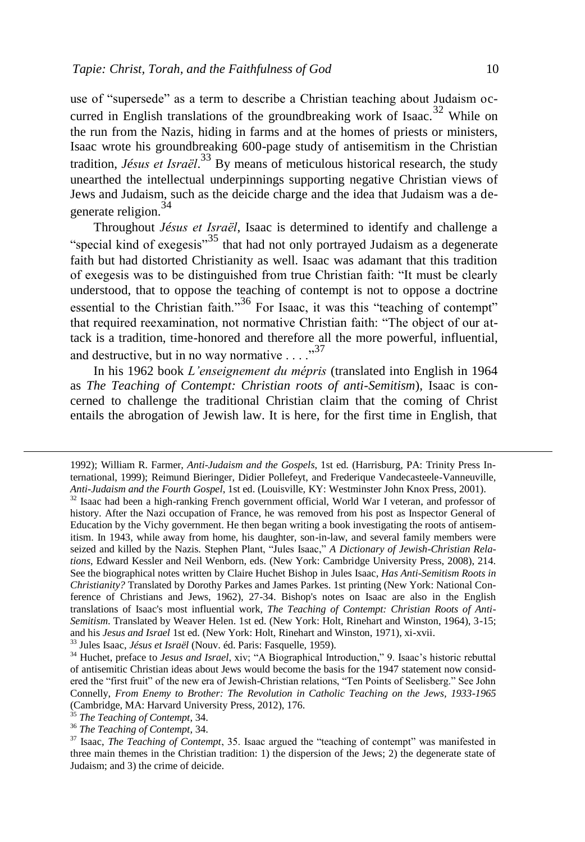use of "supersede" as a term to describe a Christian teaching about Judaism occurred in English translations of the groundbreaking work of Isaac.<sup>32</sup> While on the run from the Nazis, hiding in farms and at the homes of priests or ministers, Isaac wrote his groundbreaking 600-page study of antisemitism in the Christian tradition, *Jésus et Israël*. <sup>33</sup> By means of meticulous historical research, the study unearthed the intellectual underpinnings supporting negative Christian views of Jews and Judaism, such as the deicide charge and the idea that Judaism was a degenerate religion.<sup>34</sup>

Throughout *Jésus et Israël*, Isaac is determined to identify and challenge a "special kind of exegesis"<sup>35</sup> that had not only portrayed Judaism as a degenerate faith but had distorted Christianity as well. Isaac was adamant that this tradition of exegesis was to be distinguished from true Christian faith: "It must be clearly understood, that to oppose the teaching of contempt is not to oppose a doctrine essential to the Christian faith.<sup>36</sup> For Isaac, it was this "teaching of contempt" that required reexamination, not normative Christian faith: "The object of our attack is a tradition, time-honored and therefore all the more powerful, influential, and destructive, but in no way normative  $\ldots$  .<sup>37</sup>

In his 1962 book *L'enseignement du mépris* (translated into English in 1964 as *The Teaching of Contempt: Christian roots of anti-Semitism*), Isaac is concerned to challenge the traditional Christian claim that the coming of Christ entails the abrogation of Jewish law. It is here, for the first time in English, that

 $\overline{a}$ 

<sup>1992);</sup> William R. Farmer, *Anti-Judaism and the Gospels*, 1st ed. (Harrisburg, PA: Trinity Press International, 1999); Reimund Bieringer, Didier Pollefeyt, and Frederique Vandecasteele-Vanneuville, *Anti-Judaism and the Fourth Gospel*, 1st ed. (Louisville, KY: Westminster John Knox Press, 2001).

<sup>&</sup>lt;sup>32</sup> Isaac had been a high-ranking French government official, World War I veteran, and professor of history. After the Nazi occupation of France, he was removed from his post as Inspector General of Education by the Vichy government. He then began writing a book investigating the roots of antisemitism. In 1943, while away from home, his daughter, son-in-law, and several family members were seized and killed by the Nazis. Stephen Plant, "Jules Isaac," *A Dictionary of Jewish-Christian Relations*, Edward Kessler and Neil Wenborn, eds. (New York: Cambridge University Press, 2008), 214. See the biographical notes written by Claire Huchet Bishop in Jules Isaac, *Has Anti-Semitism Roots in Christianity?* Translated by Dorothy Parkes and James Parkes. 1st printing (New York: National Conference of Christians and Jews, 1962), 27-34. Bishop's notes on Isaac are also in the English translations of Isaac's most influential work, *The Teaching of Contempt: Christian Roots of Anti-Semitism*. Translated by Weaver Helen. 1st ed. (New York: Holt, Rinehart and Winston, 1964), 3-15; and his *Jesus and Israel* 1st ed. (New York: Holt, Rinehart and Winston, 1971), xi-xvii.

<sup>33</sup> Jules Isaac, *Jésus et Israël* (Nouv. éd. Paris: Fasquelle, 1959).

<sup>34</sup> Huchet, preface to *Jesus and Israel*, xiv; "A Biographical Introduction," 9. Isaac's historic rebuttal of antisemitic Christian ideas about Jews would become the basis for the 1947 statement now considered the "first fruit" of the new era of Jewish-Christian relations, "Ten Points of Seelisberg." See John Connelly, *From Enemy to Brother: The Revolution in Catholic Teaching on the Jews, 1933-1965* (Cambridge, MA: Harvard University Press, 2012), 176.

<sup>35</sup> *The Teaching of Contempt*, 34.

<sup>36</sup> *The Teaching of Contempt*, 34.

<sup>&</sup>lt;sup>37</sup> Isaac, *The Teaching of Contempt*, 35. Isaac argued the "teaching of contempt" was manifested in three main themes in the Christian tradition: 1) the dispersion of the Jews; 2) the degenerate state of Judaism; and 3) the crime of deicide.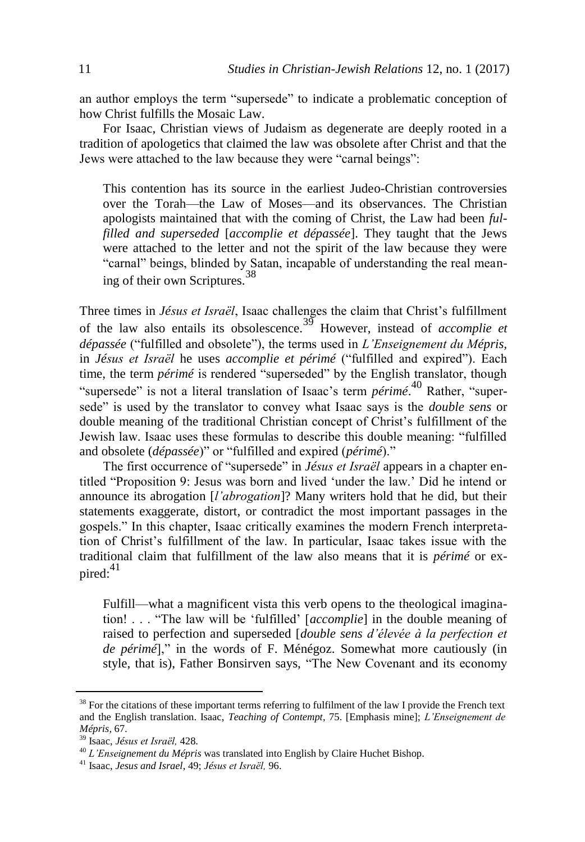an author employs the term "supersede" to indicate a problematic conception of how Christ fulfills the Mosaic Law.

For Isaac, Christian views of Judaism as degenerate are deeply rooted in a tradition of apologetics that claimed the law was obsolete after Christ and that the Jews were attached to the law because they were "carnal beings":

This contention has its source in the earliest Judeo-Christian controversies over the Torah—the Law of Moses—and its observances. The Christian apologists maintained that with the coming of Christ, the Law had been *fulfilled and superseded* [*accomplie et dépassée*]. They taught that the Jews were attached to the letter and not the spirit of the law because they were "carnal" beings, blinded by Satan, incapable of understanding the real meaning of their own Scriptures.<sup>38</sup>

Three times in *Jésus et Israël*, Isaac challenges the claim that Christ's fulfillment of the law also entails its obsolescence.<sup>39</sup> However, instead of *accomplie et dépassée* ("fulfilled and obsolete"), the terms used in *L'Enseignement du Mépris,* in *Jésus et Israël* he uses *accomplie et périmé* ("fulfilled and expired"). Each time, the term *périmé* is rendered "superseded" by the English translator, though "supersede" is not a literal translation of Isaac's term *périmé*. <sup>40</sup> Rather, "supersede" is used by the translator to convey what Isaac says is the *double sens* or double meaning of the traditional Christian concept of Christ's fulfillment of the Jewish law. Isaac uses these formulas to describe this double meaning: "fulfilled and obsolete (*dépassée*)" or "fulfilled and expired (*périmé*)."

The first occurrence of "supersede" in *Jésus et Israël* appears in a chapter entitled "Proposition 9: Jesus was born and lived 'under the law.' Did he intend or announce its abrogation [*l'abrogation*]? Many writers hold that he did, but their statements exaggerate, distort, or contradict the most important passages in the gospels." In this chapter, Isaac critically examines the modern French interpretation of Christ's fulfillment of the law. In particular, Isaac takes issue with the traditional claim that fulfillment of the law also means that it is *périmé* or expired:<sup>41</sup>

Fulfill—what a magnificent vista this verb opens to the theological imagination! . . . "The law will be 'fulfilled' [*accomplie*] in the double meaning of raised to perfection and superseded [*double sens d'élevée à la perfection et de périmé*]," in the words of F. Ménégoz. Somewhat more cautiously (in style, that is), Father Bonsirven says, "The New Covenant and its economy

<sup>&</sup>lt;sup>38</sup> For the citations of these important terms referring to fulfilment of the law I provide the French text and the English translation. Isaac, *Teaching of Contempt*, 75. [Emphasis mine]; *L'Enseignement de Mépris*, 67.

<sup>39</sup> Isaac, *Jésus et Israël,* 428.

<sup>40</sup> *L'Enseignement du Mépris* was translated into English by Claire Huchet Bishop.

<sup>41</sup> Isaac, *Jesus and Israel*, 49; *Jésus et Israël,* 96.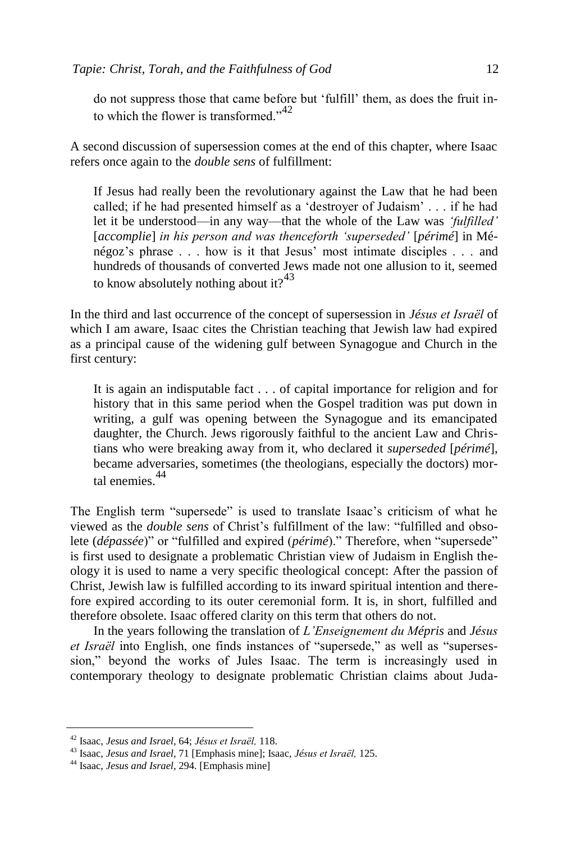do not suppress those that came before but 'fulfill' them, as does the fruit into which the flower is transformed."<sup>42</sup>

A second discussion of supersession comes at the end of this chapter, where Isaac refers once again to the *double sens* of fulfillment:

If Jesus had really been the revolutionary against the Law that he had been called; if he had presented himself as a 'destroyer of Judaism' . . . if he had let it be understood—in any way—that the whole of the Law was *'fulfilled'*  [*accomplie*] *in his person and was thenceforth 'superseded'* [*périmé*] in Ménégoz's phrase . . . how is it that Jesus' most intimate disciples . . . and hundreds of thousands of converted Jews made not one allusion to it, seemed to know absolutely nothing about it?<sup>43</sup>

In the third and last occurrence of the concept of supersession in *Jésus et Israël* of which I am aware, Isaac cites the Christian teaching that Jewish law had expired as a principal cause of the widening gulf between Synagogue and Church in the first century:

It is again an indisputable fact . . . of capital importance for religion and for history that in this same period when the Gospel tradition was put down in writing, a gulf was opening between the Synagogue and its emancipated daughter, the Church. Jews rigorously faithful to the ancient Law and Christians who were breaking away from it, who declared it *superseded* [*périmé*], became adversaries, sometimes (the theologians, especially the doctors) mortal enemies<sup>44</sup>

The English term "supersede" is used to translate Isaac's criticism of what he viewed as the *double sens* of Christ's fulfillment of the law: "fulfilled and obsolete (*dépassée*)" or "fulfilled and expired (*périmé*)." Therefore, when "supersede" is first used to designate a problematic Christian view of Judaism in English theology it is used to name a very specific theological concept: After the passion of Christ, Jewish law is fulfilled according to its inward spiritual intention and therefore expired according to its outer ceremonial form. It is, in short, fulfilled and therefore obsolete. Isaac offered clarity on this term that others do not.

In the years following the translation of *L'Enseignement du Mépris* and *Jésus et Israël* into English, one finds instances of "supersede," as well as "supersession," beyond the works of Jules Isaac. The term is increasingly used in contemporary theology to designate problematic Christian claims about Juda-

<sup>42</sup> Isaac, *Jesus and Israel*, 64; *Jésus et Israël,* 118.

<sup>43</sup> Isaac, *Jesus and Israel*, 71 [Emphasis mine]; Isaac, *Jésus et Israël,* 125.

<sup>44</sup> Isaac, *Jesus and Israel*, 294. [Emphasis mine]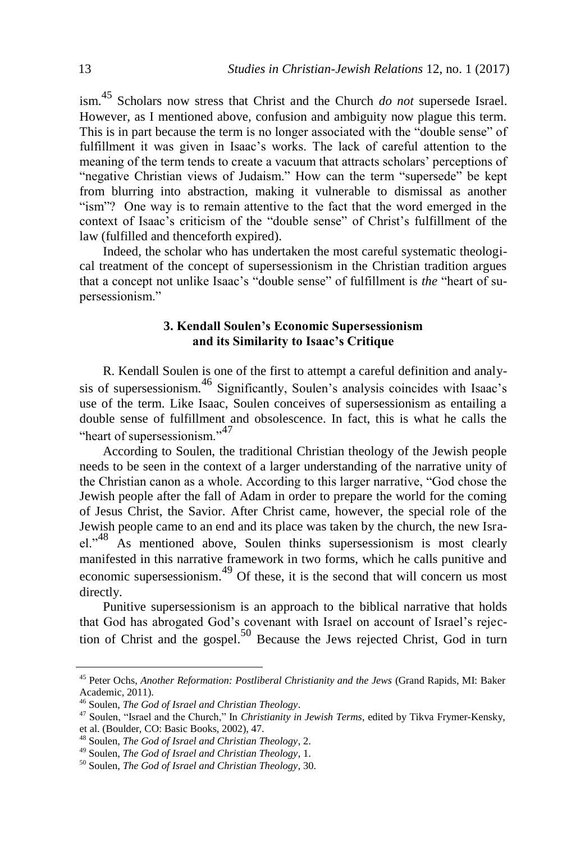ism.<sup>45</sup> Scholars now stress that Christ and the Church *do not* supersede Israel. However, as I mentioned above, confusion and ambiguity now plague this term. This is in part because the term is no longer associated with the "double sense" of fulfillment it was given in Isaac's works. The lack of careful attention to the meaning of the term tends to create a vacuum that attracts scholars' perceptions of "negative Christian views of Judaism." How can the term "supersede" be kept from blurring into abstraction, making it vulnerable to dismissal as another "ism"? One way is to remain attentive to the fact that the word emerged in the context of Isaac's criticism of the "double sense" of Christ's fulfillment of the law (fulfilled and thenceforth expired).

Indeed, the scholar who has undertaken the most careful systematic theological treatment of the concept of supersessionism in the Christian tradition argues that a concept not unlike Isaac's "double sense" of fulfillment is *the* "heart of supersessionism."

## **3. Kendall Soulen's Economic Supersessionism and its Similarity to Isaac's Critique**

R. Kendall Soulen is one of the first to attempt a careful definition and analysis of supersessionism.<sup>46</sup> Significantly, Soulen's analysis coincides with Isaac's use of the term. Like Isaac, Soulen conceives of supersessionism as entailing a double sense of fulfillment and obsolescence. In fact, this is what he calls the "heart of supersessionism."<sup>47</sup>

According to Soulen, the traditional Christian theology of the Jewish people needs to be seen in the context of a larger understanding of the narrative unity of the Christian canon as a whole. According to this larger narrative, "God chose the Jewish people after the fall of Adam in order to prepare the world for the coming of Jesus Christ, the Savior. After Christ came, however, the special role of the Jewish people came to an end and its place was taken by the church, the new Israel."<sup>48</sup> As mentioned above, Soulen thinks supersessionism is most clearly manifested in this narrative framework in two forms, which he calls punitive and economic supersessionism.<sup>49</sup> Of these, it is the second that will concern us most directly.

Punitive supersessionism is an approach to the biblical narrative that holds that God has abrogated God's covenant with Israel on account of Israel's rejection of Christ and the gospel.<sup>50</sup> Because the Jews rejected Christ, God in turn

<sup>45</sup> Peter Ochs, *Another Reformation: Postliberal Christianity and the Jews* (Grand Rapids, MI: Baker Academic, 2011).

<sup>46</sup> Soulen, *The God of Israel and Christian Theology*.

<sup>47</sup> Soulen, "Israel and the Church," In *Christianity in Jewish Terms*, edited by Tikva Frymer-Kensky, et al. (Boulder, CO: Basic Books, 2002), 47.

<sup>48</sup> Soulen, *The God of Israel and Christian Theology*, 2.

<sup>49</sup> Soulen, *The God of Israel and Christian Theology*, 1.

<sup>50</sup> Soulen, *The God of Israel and Christian Theology*, 30.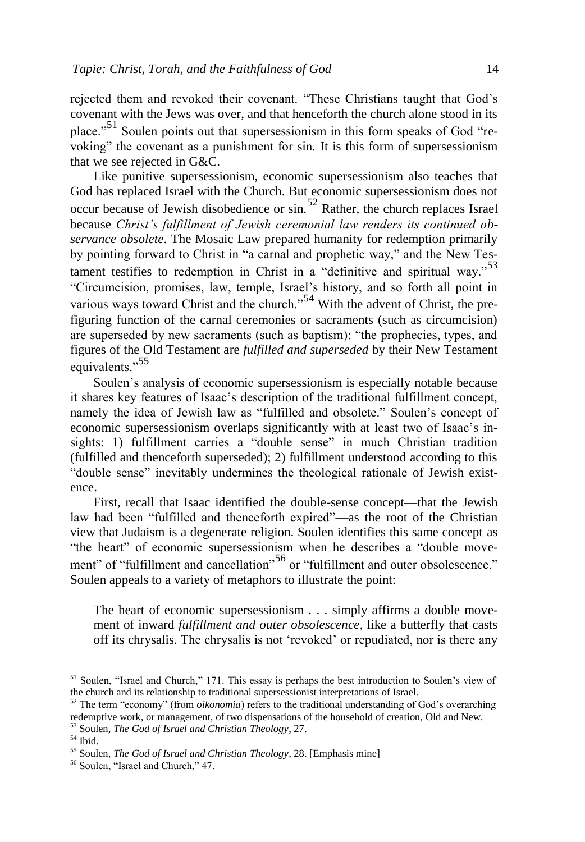rejected them and revoked their covenant. "These Christians taught that God's covenant with the Jews was over, and that henceforth the church alone stood in its place.<sup>51</sup> Soulen points out that supersessionism in this form speaks of God "revoking" the covenant as a punishment for sin. It is this form of supersessionism that we see rejected in G&C.

Like punitive supersessionism, economic supersessionism also teaches that God has replaced Israel with the Church. But economic supersessionism does not occur because of Jewish disobedience or  $\sin^{52}$  Rather, the church replaces Israel because *Christ's fulfillment of Jewish ceremonial law renders its continued observance obsolete*. The Mosaic Law prepared humanity for redemption primarily by pointing forward to Christ in "a carnal and prophetic way," and the New Tes $t_{\text{moment}}$  testifies to redemption in Christ in a "definitive and spiritual way."<sup>53</sup> "Circumcision, promises, law, temple, Israel's history, and so forth all point in various ways toward Christ and the church."<sup>54</sup> With the advent of Christ, the prefiguring function of the carnal ceremonies or sacraments (such as circumcision) are superseded by new sacraments (such as baptism): "the prophecies, types, and figures of the Old Testament are *fulfilled and superseded* by their New Testament equivalents."<sup>55</sup>

Soulen's analysis of economic supersessionism is especially notable because it shares key features of Isaac's description of the traditional fulfillment concept, namely the idea of Jewish law as "fulfilled and obsolete." Soulen's concept of economic supersessionism overlaps significantly with at least two of Isaac's insights: 1) fulfillment carries a "double sense" in much Christian tradition (fulfilled and thenceforth superseded); 2) fulfillment understood according to this "double sense" inevitably undermines the theological rationale of Jewish existence.

First, recall that Isaac identified the double-sense concept—that the Jewish law had been "fulfilled and thenceforth expired"—as the root of the Christian view that Judaism is a degenerate religion. Soulen identifies this same concept as "the heart" of economic supersessionism when he describes a "double movement" of "fulfillment and cancellation"<sup>56</sup> or "fulfillment and outer obsolescence." Soulen appeals to a variety of metaphors to illustrate the point:

The heart of economic supersessionism . . . simply affirms a double movement of inward *fulfillment and outer obsolescence*, like a butterfly that casts off its chrysalis. The chrysalis is not 'revoked' or repudiated, nor is there any

<sup>51</sup> Soulen, "Israel and Church," 171. This essay is perhaps the best introduction to Soulen's view of the church and its relationship to traditional supersessionist interpretations of Israel.

<sup>&</sup>lt;sup>52</sup> The term "economy" (from *oikonomia*) refers to the traditional understanding of God's overarching redemptive work, or management, of two dispensations of the household of creation, Old and New.

<sup>53</sup> Soulen, *The God of Israel and Christian Theology*, 27.

 $^{54}$  Ibid.

<sup>55</sup> Soulen, *The God of Israel and Christian Theology*, 28. [Emphasis mine]

<sup>56</sup> Soulen, "Israel and Church," 47.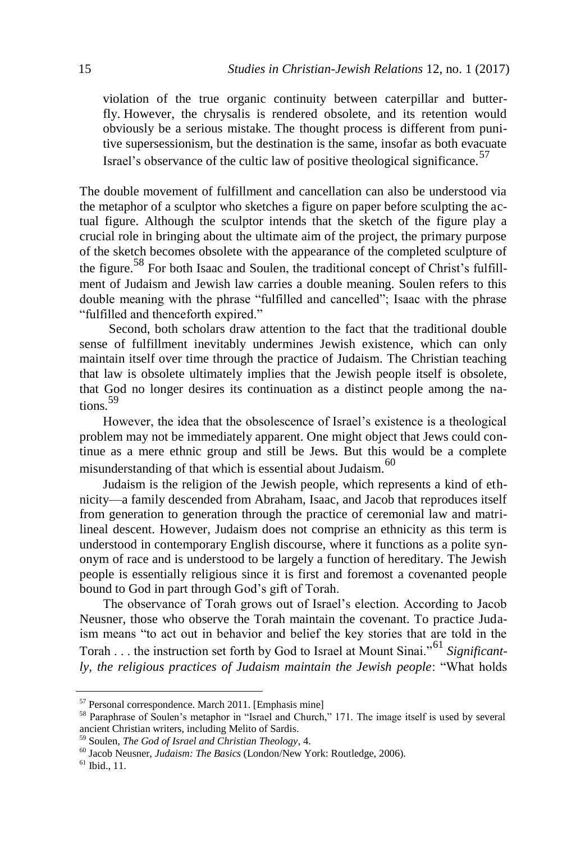violation of the true organic continuity between caterpillar and butterfly. However, the chrysalis is rendered obsolete, and its retention would obviously be a serious mistake. The thought process is different from punitive supersessionism, but the destination is the same, insofar as both evacuate Israel's observance of the cultic law of positive theological significance.<sup>57</sup>

The double movement of fulfillment and cancellation can also be understood via the metaphor of a sculptor who sketches a figure on paper before sculpting the actual figure. Although the sculptor intends that the sketch of the figure play a crucial role in bringing about the ultimate aim of the project, the primary purpose of the sketch becomes obsolete with the appearance of the completed sculpture of the figure.<sup>58</sup> For both Isaac and Soulen, the traditional concept of Christ's fulfillment of Judaism and Jewish law carries a double meaning. Soulen refers to this double meaning with the phrase "fulfilled and cancelled"; Isaac with the phrase "fulfilled and thenceforth expired."

Second, both scholars draw attention to the fact that the traditional double sense of fulfillment inevitably undermines Jewish existence, which can only maintain itself over time through the practice of Judaism. The Christian teaching that law is obsolete ultimately implies that the Jewish people itself is obsolete, that God no longer desires its continuation as a distinct people among the nations.<sup>59</sup>

However, the idea that the obsolescence of Israel's existence is a theological problem may not be immediately apparent. One might object that Jews could continue as a mere ethnic group and still be Jews. But this would be a complete misunderstanding of that which is essential about Judaism.<sup>60</sup>

Judaism is the religion of the Jewish people, which represents a kind of ethnicity—a family descended from Abraham, Isaac, and Jacob that reproduces itself from generation to generation through the practice of ceremonial law and matrilineal descent. However, Judaism does not comprise an ethnicity as this term is understood in contemporary English discourse, where it functions as a polite synonym of race and is understood to be largely a function of hereditary. The Jewish people is essentially religious since it is first and foremost a covenanted people bound to God in part through God's gift of Torah.

The observance of Torah grows out of Israel's election. According to Jacob Neusner, those who observe the Torah maintain the covenant. To practice Judaism means "to act out in behavior and belief the key stories that are told in the Torah . . . the instruction set forth by God to Israel at Mount Sinai."<sup>61</sup> *Significantly, the religious practices of Judaism maintain the Jewish people*: "What holds

<sup>57</sup> Personal correspondence. March 2011. [Emphasis mine]

<sup>&</sup>lt;sup>58</sup> Paraphrase of Soulen's metaphor in "Israel and Church," 171. The image itself is used by several ancient Christian writers, including Melito of Sardis.

<sup>59</sup> Soulen, *The God of Israel and Christian Theology*, 4.

<sup>60</sup> Jacob Neusner, *Judaism: The Basics* (London/New York: Routledge, 2006).

<sup>61</sup> Ibid., 11.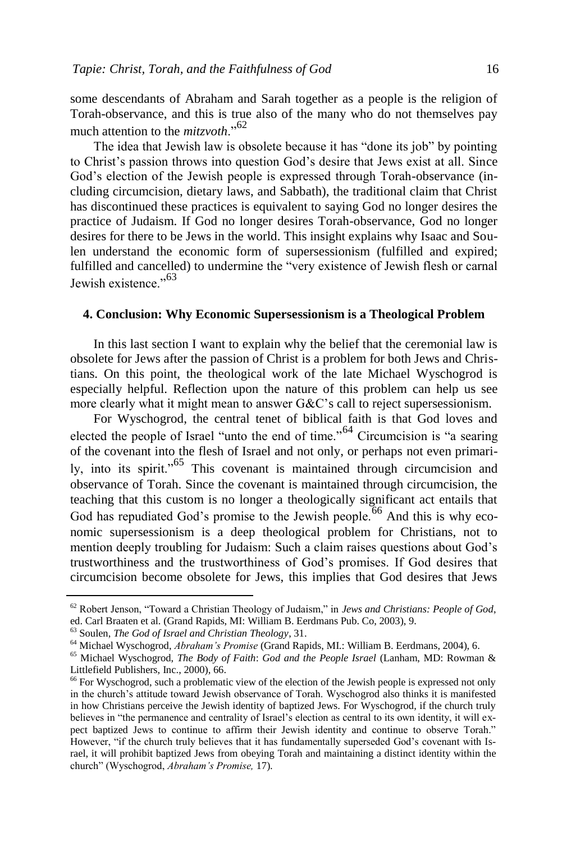some descendants of Abraham and Sarah together as a people is the religion of Torah-observance, and this is true also of the many who do not themselves pay much attention to the *mitzvoth*."<sup>62</sup>

The idea that Jewish law is obsolete because it has "done its job" by pointing to Christ's passion throws into question God's desire that Jews exist at all. Since God's election of the Jewish people is expressed through Torah-observance (including circumcision, dietary laws, and Sabbath), the traditional claim that Christ has discontinued these practices is equivalent to saying God no longer desires the practice of Judaism. If God no longer desires Torah-observance, God no longer desires for there to be Jews in the world. This insight explains why Isaac and Soulen understand the economic form of supersessionism (fulfilled and expired; fulfilled and cancelled) to undermine the "very existence of Jewish flesh or carnal Jewish existence."<sup>63</sup>

#### **4. Conclusion: Why Economic Supersessionism is a Theological Problem**

In this last section I want to explain why the belief that the ceremonial law is obsolete for Jews after the passion of Christ is a problem for both Jews and Christians. On this point, the theological work of the late Michael Wyschogrod is especially helpful. Reflection upon the nature of this problem can help us see more clearly what it might mean to answer G&C's call to reject supersessionism.

For Wyschogrod, the central tenet of biblical faith is that God loves and elected the people of Israel "unto the end of time."<sup>64</sup> Circumcision is "a searing of the covenant into the flesh of Israel and not only, or perhaps not even primarily, into its spirit."<sup>65</sup> This covenant is maintained through circumcision and observance of Torah. Since the covenant is maintained through circumcision, the teaching that this custom is no longer a theologically significant act entails that God has repudiated God's promise to the Jewish people.<sup>66</sup> And this is why economic supersessionism is a deep theological problem for Christians, not to mention deeply troubling for Judaism: Such a claim raises questions about God's trustworthiness and the trustworthiness of God's promises. If God desires that circumcision become obsolete for Jews, this implies that God desires that Jews

<sup>62</sup> Robert Jenson, "Toward a Christian Theology of Judaism," in *Jews and Christians: People of God*, ed. Carl Braaten et al. (Grand Rapids, MI: William B. Eerdmans Pub. Co, 2003), 9.

<sup>63</sup> Soulen, *The God of Israel and Christian Theology*, 31.

<sup>64</sup> Michael Wyschogrod, *Abraham's Promise* (Grand Rapids, MI.: William B. Eerdmans, 2004), 6.

<sup>65</sup> Michael Wyschogrod, *The Body of Faith*: *God and the People Israel* (Lanham, MD: Rowman & Littlefield Publishers, Inc., 2000), 66.

<sup>&</sup>lt;sup>66</sup> For Wyschogrod, such a problematic view of the election of the Jewish people is expressed not only in the church's attitude toward Jewish observance of Torah. Wyschogrod also thinks it is manifested in how Christians perceive the Jewish identity of baptized Jews. For Wyschogrod, if the church truly believes in "the permanence and centrality of Israel's election as central to its own identity, it will expect baptized Jews to continue to affirm their Jewish identity and continue to observe Torah." However, "if the church truly believes that it has fundamentally superseded God's covenant with Israel, it will prohibit baptized Jews from obeying Torah and maintaining a distinct identity within the church" (Wyschogrod, *Abraham's Promise,* 17).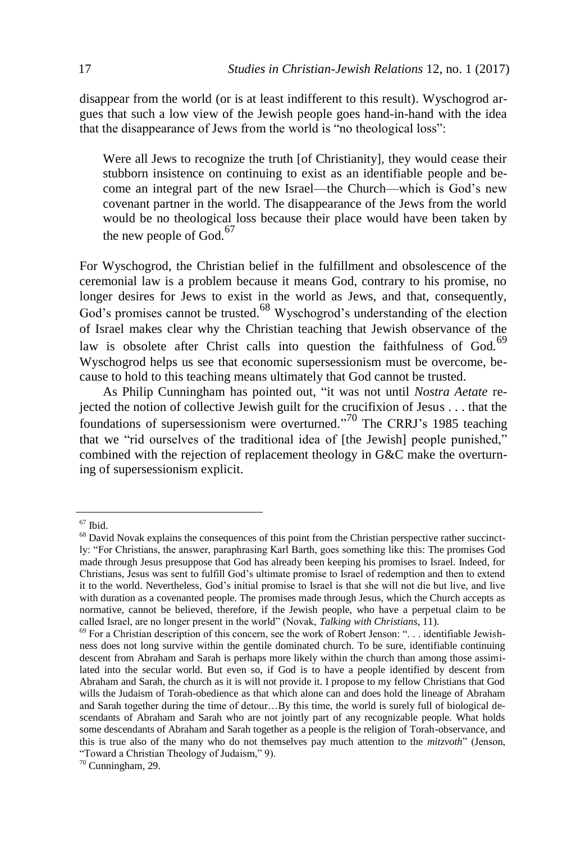disappear from the world (or is at least indifferent to this result). Wyschogrod argues that such a low view of the Jewish people goes hand-in-hand with the idea that the disappearance of Jews from the world is "no theological loss":

Were all Jews to recognize the truth [of Christianity], they would cease their stubborn insistence on continuing to exist as an identifiable people and become an integral part of the new Israel—the Church—which is God's new covenant partner in the world. The disappearance of the Jews from the world would be no theological loss because their place would have been taken by the new people of  $Good.<sup>67</sup>$ 

For Wyschogrod, the Christian belief in the fulfillment and obsolescence of the ceremonial law is a problem because it means God, contrary to his promise, no longer desires for Jews to exist in the world as Jews, and that, consequently, God's promises cannot be trusted.<sup>68</sup> Wyschogrod's understanding of the election of Israel makes clear why the Christian teaching that Jewish observance of the law is obsolete after Christ calls into question the faithfulness of God.<sup>69</sup> Wyschogrod helps us see that economic supersessionism must be overcome, because to hold to this teaching means ultimately that God cannot be trusted.

As Philip Cunningham has pointed out, "it was not until *Nostra Aetate* rejected the notion of collective Jewish guilt for the crucifixion of Jesus . . . that the foundations of supersessionism were overturned."<sup>70</sup> The CRRJ's 1985 teaching that we "rid ourselves of the traditional idea of [the Jewish] people punished," combined with the rejection of replacement theology in G&C make the overturning of supersessionism explicit.

 $67$  Ibid.

<sup>&</sup>lt;sup>68</sup> David Novak explains the consequences of this point from the Christian perspective rather succinctly: "For Christians, the answer, paraphrasing Karl Barth, goes something like this: The promises God made through Jesus presuppose that God has already been keeping his promises to Israel. Indeed, for Christians, Jesus was sent to fulfill God's ultimate promise to Israel of redemption and then to extend it to the world. Nevertheless, God's initial promise to Israel is that she will not die but live, and live with duration as a covenanted people. The promises made through Jesus, which the Church accepts as normative, cannot be believed, therefore, if the Jewish people, who have a perpetual claim to be called Israel, are no longer present in the world" (Novak, *Talking with Christians*, 11).

<sup>69</sup> For a Christian description of this concern, see the work of Robert Jenson: ". . . identifiable Jewishness does not long survive within the gentile dominated church. To be sure, identifiable continuing descent from Abraham and Sarah is perhaps more likely within the church than among those assimilated into the secular world. But even so, if God is to have a people identified by descent from Abraham and Sarah, the church as it is will not provide it. I propose to my fellow Christians that God wills the Judaism of Torah-obedience as that which alone can and does hold the lineage of Abraham and Sarah together during the time of detour…By this time, the world is surely full of biological descendants of Abraham and Sarah who are not jointly part of any recognizable people. What holds some descendants of Abraham and Sarah together as a people is the religion of Torah-observance, and this is true also of the many who do not themselves pay much attention to the *mitzvoth*" (Jenson, "Toward a Christian Theology of Judaism," 9).

 $70$  Cunningham, 29.